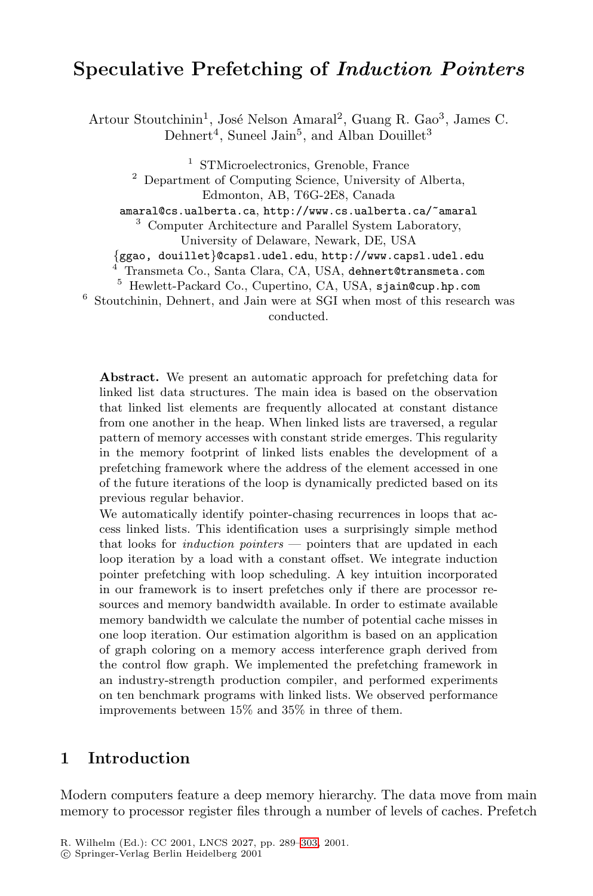# **Speculative Prefetching of** *Induction Pointers*

Artour Stoutchinin<sup>1</sup>, José Nelson Amaral<sup>2</sup>, Guang R. Gao<sup>3</sup>, James C. Dehnert<sup>4</sup>, Suneel Jain<sup>5</sup>, and Alban Douillet<sup>3</sup>

<sup>1</sup> STMicroelectronics, Grenoble, France

<sup>2</sup> Department of Computing Science, University of Alberta, Edmonton, AB, T6G-2E8, Canada

amaral@cs.ualberta.ca, http://www.cs.ualberta.ca/˜amaral

<sup>3</sup> Computer Architecture and Parallel System Laboratory, University of Delaware, Newark, DE, USA

{ggao, douillet}@capsl.udel.edu, http://www.capsl.udel.edu

<sup>4</sup> Transmeta Co., Santa Clara, CA, USA, dehnert@transmeta.com

<sup>5</sup> Hewlett-Packard Co., Cupertino, CA, USA, sjain@cup.hp.com

<sup>6</sup> Stoutchinin, Dehnert, and Jain were at SGI when most of this research was conducted.

**Abstract.** We present an automatic approach for prefetching data for linked list data structures. The main idea is based on the observation that linked list elements are frequently allocated at constant distance from one another in the heap. When linked lists are traversed, a regular pattern of memory accesses with constant stride emerges. This regularity in the memory footprint of linked lists enables the development of a prefetching framework where the address of the element accessed in one of the future iterations of the loop is dynamically predicted based on its previous regular behavior.

We automatically identify pointer-chasing recurrences in loops that access linked lists. This identification uses a surprisingly simple method that looks for induction pointers — pointers that are updated in each loop iteration by a load with a constant offset. We integrate induction pointer prefetching with loop scheduling. A key intuition incorporated in our framework is to insert prefetches only if there are processor resources and memory bandwidth available. In order to estimate available memory bandwidth we calculate the number of potential cache misses in one loop iteration. Our estimation algorithm is based on an application of graph coloring on a memory access interference graph derived from the control flow graph. We implemented the prefetching framework in an industry-strength production compiler, and performed experiments on ten benchmark programs with linked lists. We observed performance improvements between 15% and 35% in three of them.

# **1 Introduction**

Modern computers feature a deep memory hierarchy. The data move from main memory to processor register files through a number of levels of caches. Prefetch

R. Wilhelm (Ed.): CC 2001, LNCS 2027, pp. 289–303, 2001.

c Springer-Verlag Berlin Heidelberg 2001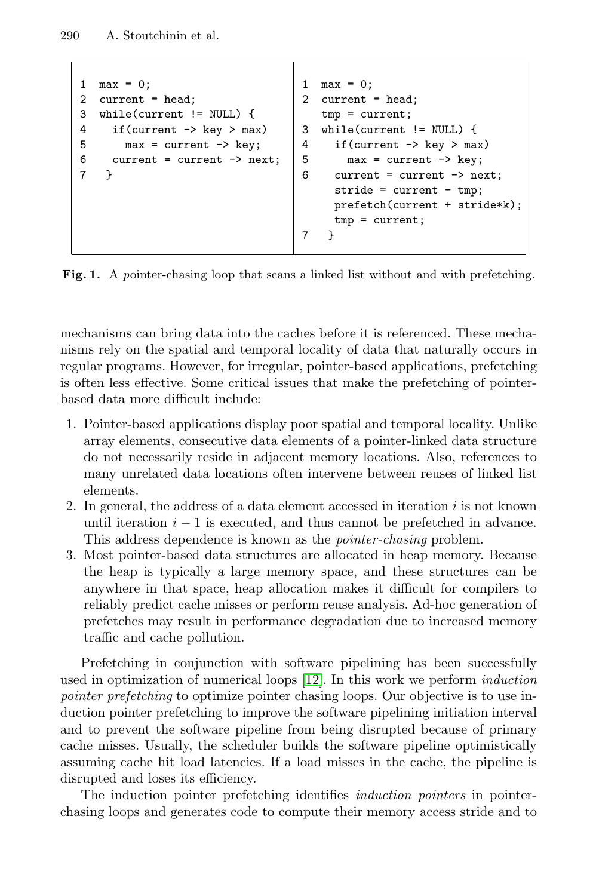```
1 max = 0;
2 current = head;
3 while(current != NULL) {
4 if(current -> key > max)
5 max = current \rightarrow key;
6 current = current \rightarrow next;
7 }
                                   1 max = 0;
                                   2 current = head;
                                       tmp = current;
                                   3 while(current != NULL) {
                                   4 if(current -> key > max)
                                   5 max = current \rightarrow key;
                                   6 current = current \rightarrow next;
                                         stride = current - tmp;
                                         prefetch(current + stride*k);
                                         tmp = current;
                                   7 }
```
Fig. 1. A pointer-chasing loop that scans a linked list without and with prefetching.

mechanisms can bring data into the caches before it is referenced. These mechanisms rely on the spatial and temporal locality of data that naturally occurs in regular programs. However, for irregular, pointer-based applications, prefetching is often less effective. Some critical issues that make the prefetching of pointerbased data more difficult include:

- 1. Pointer-based applications display poor spatial and temporal locality. Unlike array elements, consecutive data elements of a pointer-linked data structure do not necessarily reside in adjacent memory locations. Also, references to many unrelated data locations often intervene between reuses of linked list elements.
- 2. In general, the address of a data element accessed in iteration  $i$  is not known until iteration  $i - 1$  is executed, and thus cannot be prefetched in advance. This address dependence is known as the pointer-chasing problem.
- 3. Most pointer-based data structures are allocated in heap memory. Because the heap is typically a large memory space, and these structures can be anywhere in that space, heap allocation makes it difficult for compilers to reliably predict cache misses or perform reuse analysis. Ad-hoc generation of prefetches may result in performance degradation due to increased memory traffic and cache pollution.

Prefetching in conjunction with software pipelining has been successfully used in optimization of numerical loops [\[12\]](#page-13-0). In this work we perform induction pointer prefetching to optimize pointer chasing loops. Our objective is to use induction pointer prefetching to improve the software pipelining initiation interval and to prevent the software pipeline from being disrupted because of primary cache misses. Usually, the scheduler builds the software pipeline optimistically assuming cache hit load latencies. If a load misses in the cache, the pipeline is disrupted and loses its efficiency.

The induction pointer prefetching identifies *induction pointers* in pointerchasing loops and generates code to compute their memory access stride and to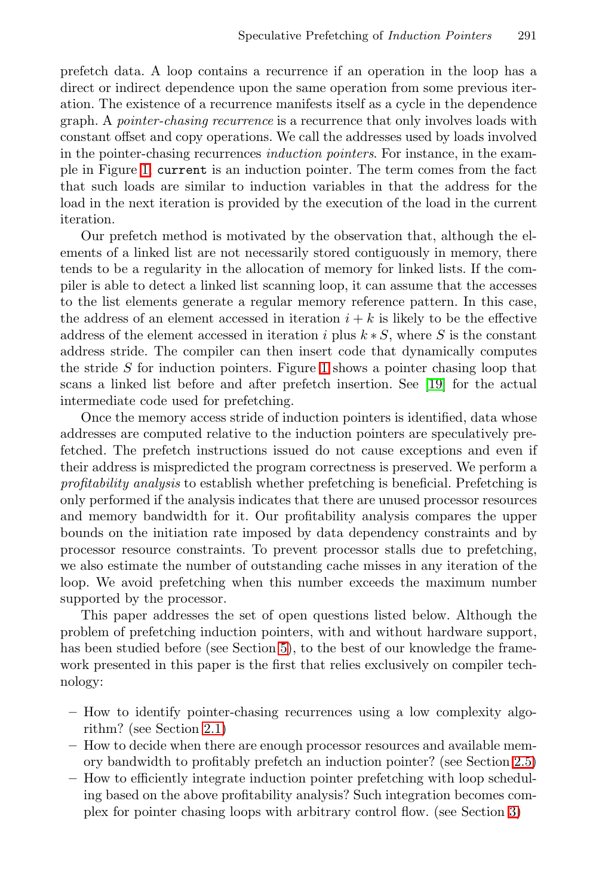prefetch data. A loop contains a recurrence if an operation in the loop has a direct or indirect dependence upon the same operation from some previous iteration. The existence of a recurrence manifests itself as a cycle in the dependence graph. A pointer-chasing recurrence is a recurrence that only involves loads with constant offset and copy operations. We call the addresses used by loads involved in the pointer-chasing recurrences induction pointers. For instance, in the example in Figure [1,](#page-1-0) current is an induction pointer. The term comes from the fact that such loads are similar to induction variables in that the address for the load in the next iteration is provided by the execution of the load in the current iteration.

Our prefetch method is motivated by the observation that, although the elements of a linked list are not necessarily stored contiguously in memory, there tends to be a regularity in the allocation of memory for linked lists. If the compiler is able to detect a linked list scanning loop, it can assume that the accesses to the list elements generate a regular memory reference pattern. In this case, the address of an element accessed in iteration  $i + k$  is likely to be the effective address of the element accessed in iteration i plus  $k * S$ , where S is the constant address stride. The compiler can then insert code that dynamically computes the stride  $S$  for induction pointers. Figure [1](#page-1-0) shows a pointer chasing loop that scans a linked list before and after prefetch insertion. See [\[19\]](#page-14-0) for the actual intermediate code used for prefetching.

Once the memory access stride of induction pointers is identified, data whose addresses are computed relative to the induction pointers are speculatively prefetched. The prefetch instructions issued do not cause exceptions and even if their address is mispredicted the program correctness is preserved. We perform a profitability analysis to establish whether prefetching is beneficial. Prefetching is only performed if the analysis indicates that there are unused processor resources and memory bandwidth for it. Our profitability analysis compares the upper bounds on the initiation rate imposed by data dependency constraints and by processor resource constraints. To prevent processor stalls due to prefetching, we also estimate the number of outstanding cache misses in any iteration of the loop. We avoid prefetching when this number exceeds the maximum number supported by the processor.

This paper addresses the set of open questions listed below. Although the problem of prefetching induction pointers, with and without hardware support, has been studied before (see Section [5\)](#page-11-0), to the best of our knowledge the framework presented in this paper is the first that relies exclusively on compiler technology:

- **–** How to identify pointer-chasing recurrences using a low complexity algorithm? (see Section [2.1\)](#page-4-0)
- **–** How to decide when there are enough processor resources and available memory bandwidth to profitably prefetch an induction pointer? (see Section [2.5\)](#page-6-0)
- **–** How to efficiently integrate induction pointer prefetching with loop scheduling based on the above profitability analysis? Such integration becomes complex for pointer chasing loops with arbitrary control flow. (see Section [3\)](#page-7-0)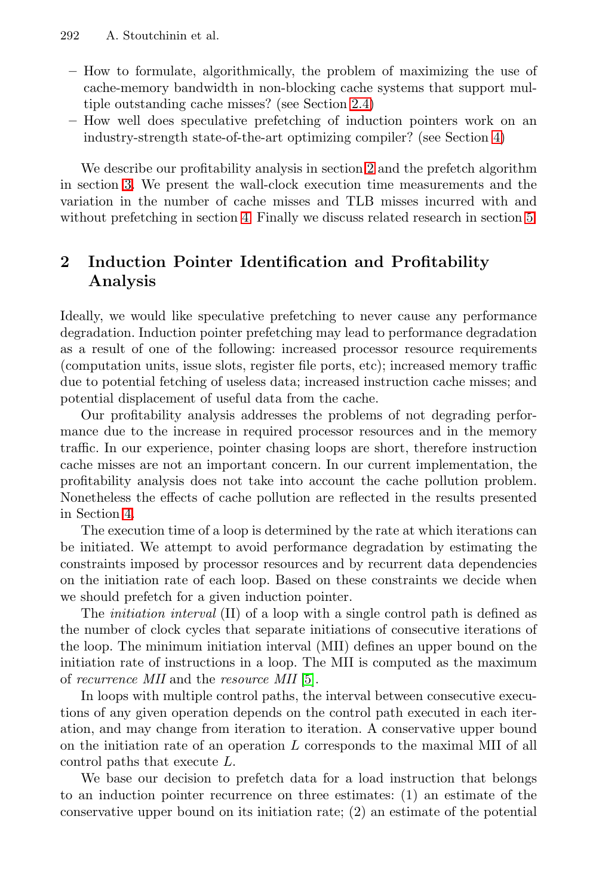- **–** How to formulate, algorithmically, the problem of maximizing the use of cache-memory bandwidth in non-blocking cache systems that support multiple outstanding cache misses? (see Section [2.4\)](#page-6-0)
- **–** How well does speculative prefetching of induction pointers work on an industry-strength state-of-the-art optimizing compiler? (see Section [4\)](#page-9-0)

We describe our profitability analysis in section 2 and the prefetch algorithm in section [3.](#page-7-0) We present the wall-clock execution time measurements and the variation in the number of cache misses and TLB misses incurred with and without prefetching in section [4.](#page-9-0) Finally we discuss related research in section [5.](#page-11-0)

# **2 Induction Pointer Identification and Profitability Analysis**

Ideally, we would like speculative prefetching to never cause any performance degradation. Induction pointer prefetching may lead to performance degradation as a result of one of the following: increased processor resource requirements (computation units, issue slots, register file ports, etc); increased memory traffic due to potential fetching of useless data; increased instruction cache misses; and potential displacement of useful data from the cache.

Our profitability analysis addresses the problems of not degrading performance due to the increase in required processor resources and in the memory traffic. In our experience, pointer chasing loops are short, therefore instruction cache misses are not an important concern. In our current implementation, the profitability analysis does not take into account the cache pollution problem. Nonetheless the effects of cache pollution are reflected in the results presented in Section [4.](#page-9-0)

The execution time of a loop is determined by the rate at which iterations can be initiated. We attempt to avoid performance degradation by estimating the constraints imposed by processor resources and by recurrent data dependencies on the initiation rate of each loop. Based on these constraints we decide when we should prefetch for a given induction pointer.

The initiation interval (II) of a loop with a single control path is defined as the number of clock cycles that separate initiations of consecutive iterations of the loop. The minimum initiation interval (MII) defines an upper bound on the initiation rate of instructions in a loop. The MII is computed as the maximum of recurrence MII and the resource MII [\[5\]](#page-13-0).

In loops with multiple control paths, the interval between consecutive executions of any given operation depends on the control path executed in each iteration, and may change from iteration to iteration. A conservative upper bound on the initiation rate of an operation L corresponds to the maximal MII of all control paths that execute L.

We base our decision to prefetch data for a load instruction that belongs to an induction pointer recurrence on three estimates: (1) an estimate of the conservative upper bound on its initiation rate; (2) an estimate of the potential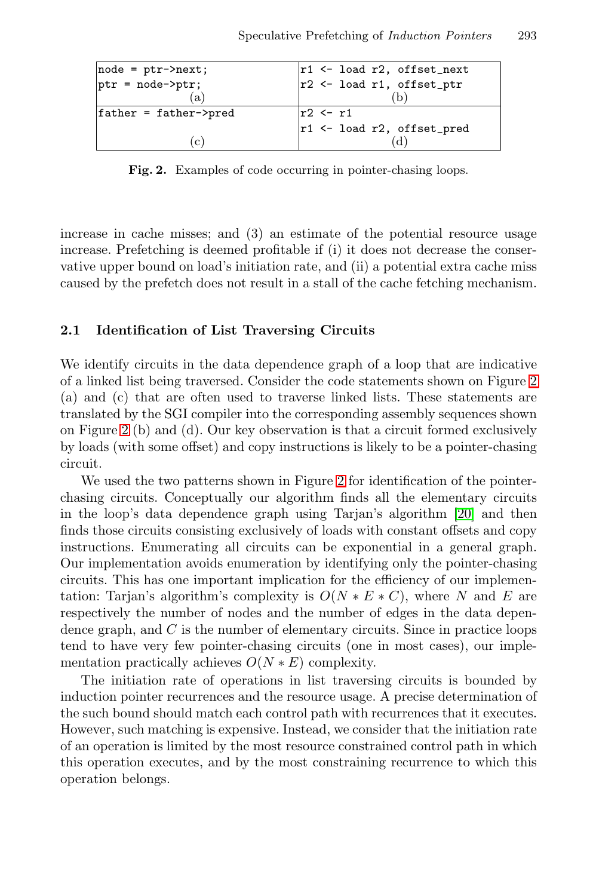<span id="page-4-0"></span>

| $node = ptr$ -> $next;$ | $ r1 \leftarrow$ load r2, offset_next |
|-------------------------|---------------------------------------|
| $ ptr = node->ptr;$     | $ r2 \leftarrow$ load r1, offset_ptr  |
| (a)                     |                                       |
| father = father->pred   | $ r2 \leq r1$                         |
|                         | $ r1 \leftarrow$ load r2, offset_pred |
| $\lceil c \rceil$       | α                                     |

**Fig. 2.** Examples of code occurring in pointer-chasing loops.

increase in cache misses; and (3) an estimate of the potential resource usage increase. Prefetching is deemed profitable if (i) it does not decrease the conservative upper bound on load's initiation rate, and (ii) a potential extra cache miss caused by the prefetch does not result in a stall of the cache fetching mechanism.

#### **2.1 Identification of List Traversing Circuits**

We identify circuits in the data dependence graph of a loop that are indicative of a linked list being traversed. Consider the code statements shown on Figure 2 (a) and (c) that are often used to traverse linked lists. These statements are translated by the SGI compiler into the corresponding assembly sequences shown on Figure 2 (b) and (d). Our key observation is that a circuit formed exclusively by loads (with some offset) and copy instructions is likely to be a pointer-chasing circuit.

We used the two patterns shown in Figure 2 for identification of the pointerchasing circuits. Conceptually our algorithm finds all the elementary circuits in the loop's data dependence graph using Tarjan's algorithm [\[20\]](#page-14-0) and then finds those circuits consisting exclusively of loads with constant offsets and copy instructions. Enumerating all circuits can be exponential in a general graph. Our implementation avoids enumeration by identifying only the pointer-chasing circuits. This has one important implication for the efficiency of our implementation: Tarjan's algorithm's complexity is  $O(N * E * C)$ , where N and E are respectively the number of nodes and the number of edges in the data dependence graph, and  $C$  is the number of elementary circuits. Since in practice loops tend to have very few pointer-chasing circuits (one in most cases), our implementation practically achieves  $O(N * E)$  complexity.

The initiation rate of operations in list traversing circuits is bounded by induction pointer recurrences and the resource usage. A precise determination of the such bound should match each control path with recurrences that it executes. However, such matching is expensive. Instead, we consider that the initiation rate of an operation is limited by the most resource constrained control path in which this operation executes, and by the most constraining recurrence to which this operation belongs.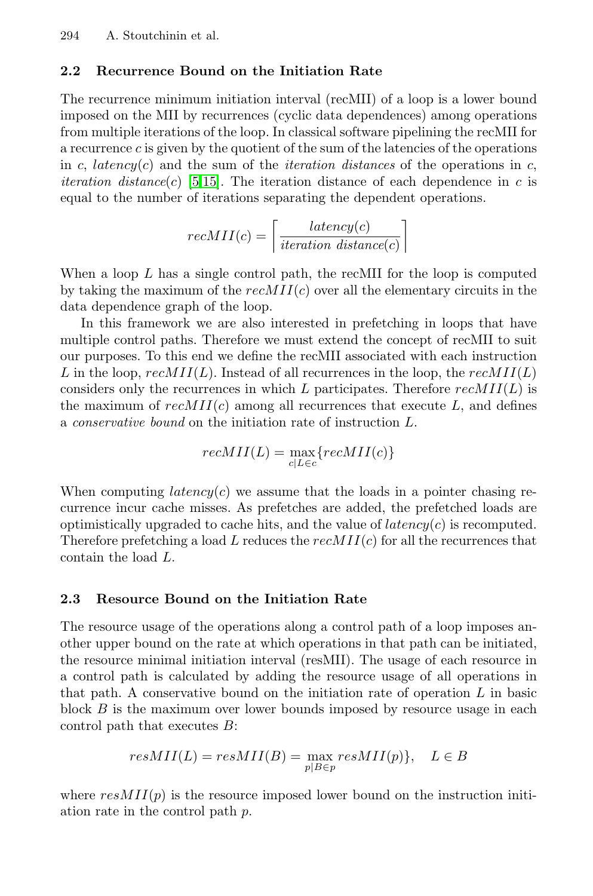#### **2.2 Recurrence Bound on the Initiation Rate**

The recurrence minimum initiation interval (recMII) of a loop is a lower bound imposed on the MII by recurrences (cyclic data dependences) among operations from multiple iterations of the loop. In classical software pipelining the recMII for a recurrence  $c$  is given by the quotient of the sum of the latencies of the operations in c, latency(c) and the sum of the *iteration distances* of the operations in c, *iteration distance*(c) [\[5](#page-13-0)[,15\]](#page-14-0). The iteration distance of each dependence in c is equal to the number of iterations separating the dependent operations.

$$
recMII(c) = \left\lceil \frac{latency(c)}{iteration\ distance(c)} \right\rceil
$$

When a loop  $L$  has a single control path, the recMII for the loop is computed by taking the maximum of the  $recMI(c)$  over all the elementary circuits in the data dependence graph of the loop.

In this framework we are also interested in prefetching in loops that have multiple control paths. Therefore we must extend the concept of recMII to suit our purposes. To this end we define the recMII associated with each instruction L in the loop,  $recMI(L)$ . Instead of all recurrences in the loop, the  $recMI(L)$ considers only the recurrences in which L participates. Therefore  $recMI(L)$  is the maximum of  $recMI(c)$  among all recurrences that execute L, and defines a conservative bound on the initiation rate of instruction L.

$$
recMII(L)=\max_{c|L\in c}\{recMII(c)\}
$$

When computing  $latency(c)$  we assume that the loads in a pointer chasing recurrence incur cache misses. As prefetches are added, the prefetched loads are optimistically upgraded to cache hits, and the value of  $latency(c)$  is recomputed. Therefore prefetching a load L reduces the  $recMI(c)$  for all the recurrences that contain the load L.

### **2.3 Resource Bound on the Initiation Rate**

The resource usage of the operations along a control path of a loop imposes another upper bound on the rate at which operations in that path can be initiated, the resource minimal initiation interval (resMII). The usage of each resource in a control path is calculated by adding the resource usage of all operations in that path. A conservative bound on the initiation rate of operation  $L$  in basic block B is the maximum over lower bounds imposed by resource usage in each control path that executes B:

$$
resMII(L) = resMII(B) = \max_{p|B \in p} resMII(p) \}, \quad L \in B
$$

where  $resMI(p)$  is the resource imposed lower bound on the instruction initiation rate in the control path p.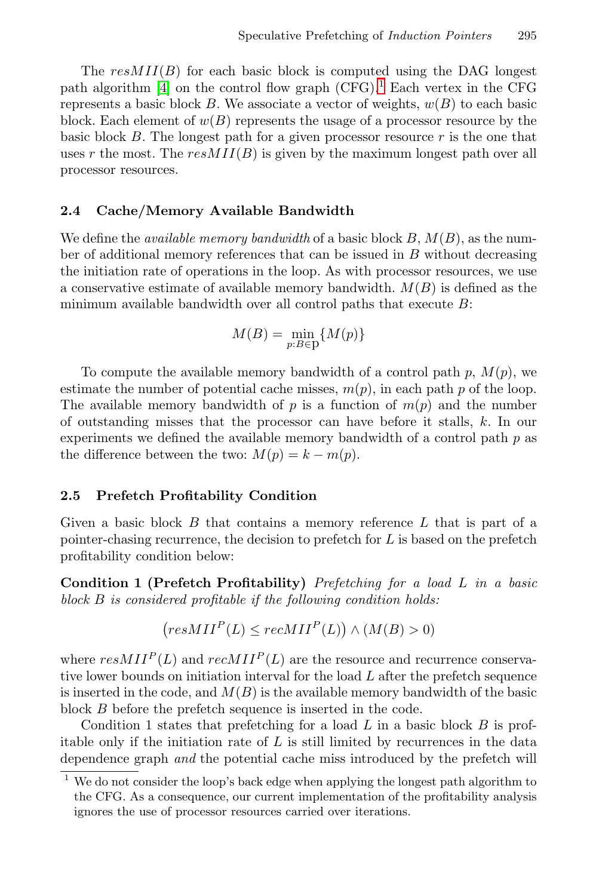<span id="page-6-0"></span>The  $resMI(B)$  for each basic block is computed using the DAG longest path algorithm  $[4]$  on the control flow graph  $(CFG)$ .<sup>1</sup> Each vertex in the CFG represents a basic block B. We associate a vector of weights,  $w(B)$  to each basic block. Each element of  $w(B)$  represents the usage of a processor resource by the basic block  $B$ . The longest path for a given processor resource  $r$  is the one that uses r the most. The  $resMI(B)$  is given by the maximum longest path over all processor resources.

#### **2.4 Cache/Memory Available Bandwidth**

We define the *available memory bandwidth* of a basic block  $B, M(B)$ , as the number of additional memory references that can be issued in B without decreasing the initiation rate of operations in the loop. As with processor resources, we use a conservative estimate of available memory bandwidth.  $M(B)$  is defined as the minimum available bandwidth over all control paths that execute  $B$ :

$$
M(B) = \min_{p:B \in \mathcal{D}} \{ M(p) \}
$$

To compute the available memory bandwidth of a control path  $p$ ,  $M(p)$ , we estimate the number of potential cache misses,  $m(p)$ , in each path p of the loop. The available memory bandwidth of p is a function of  $m(p)$  and the number of outstanding misses that the processor can have before it stalls, k. In our experiments we defined the available memory bandwidth of a control path  $p$  as the difference between the two:  $M(p) = k - m(p)$ .

#### **2.5 Prefetch Profitability Condition**

Given a basic block  $B$  that contains a memory reference  $L$  that is part of a pointer-chasing recurrence, the decision to prefetch for  $L$  is based on the prefetch profitability condition below:

**Condition 1 (Prefetch Profitability)** Prefetching for a load L in a basic block B is considered profitable if the following condition holds:

$$
(resMIIP(L) \leq recMIIP(L)) \wedge (M(B) > 0)
$$

where  $resMII^{P}(L)$  and  $recMII^{P}(L)$  are the resource and recurrence conservative lower bounds on initiation interval for the load  $L$  after the prefetch sequence is inserted in the code, and  $M(B)$  is the available memory bandwidth of the basic block B before the prefetch sequence is inserted in the code.

Condition 1 states that prefetching for a load  $L$  in a basic block  $B$  is profitable only if the initiation rate of  $L$  is still limited by recurrences in the data dependence graph and the potential cache miss introduced by the prefetch will

<sup>1</sup> We do not consider the loop's back edge when applying the longest path algorithm to the CFG. As a consequence, our current implementation of the profitability analysis ignores the use of processor resources carried over iterations.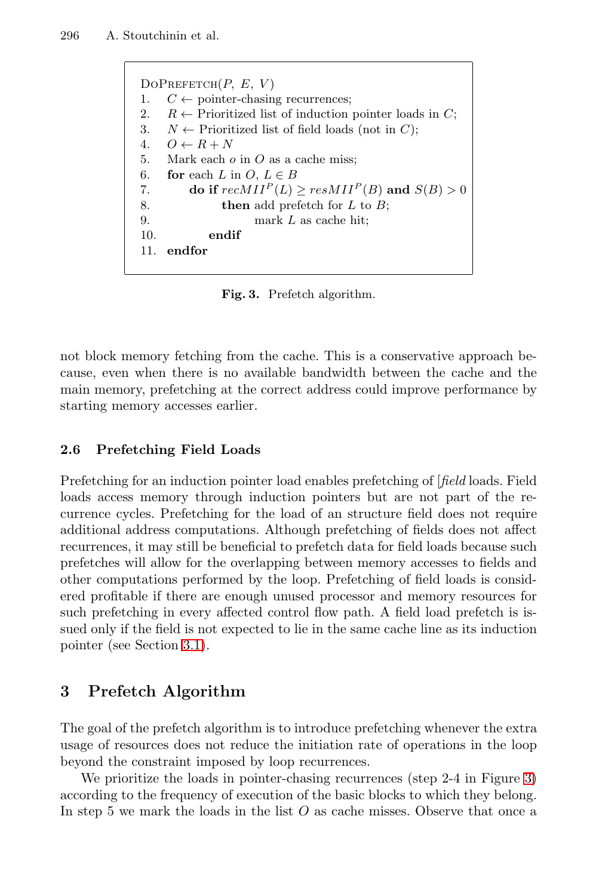```
DOPREFETCH(P, E, V)1. C \leftarrow pointer-chasing recurrences;
2. R \leftarrow Prioritized list of induction pointer loads in C;
3. N \leftarrow Prioritized list of field loads (not in C);
4. O \leftarrow R + N5. Mark each o in O as a cache miss;
6. for each L in O, L \in B7. do if recMII^{P}(L) \geq resMII^{P}(B) and S(B) > 08. then add prefetch for L to B;
9. mark L as cache hit;
10. endif
11. endfor
```
**Fig. 3.** Prefetch algorithm.

not block memory fetching from the cache. This is a conservative approach because, even when there is no available bandwidth between the cache and the main memory, prefetching at the correct address could improve performance by starting memory accesses earlier.

## **2.6 Prefetching Field Loads**

Prefetching for an induction pointer load enables prefetching of [field loads. Field loads access memory through induction pointers but are not part of the recurrence cycles. Prefetching for the load of an structure field does not require additional address computations. Although prefetching of fields does not affect recurrences, it may still be beneficial to prefetch data for field loads because such prefetches will allow for the overlapping between memory accesses to fields and other computations performed by the loop. Prefetching of field loads is considered profitable if there are enough unused processor and memory resources for such prefetching in every affected control flow path. A field load prefetch is issued only if the field is not expected to lie in the same cache line as its induction pointer (see Section [3.1\)](#page-8-0).

## **3 Prefetch Algorithm**

The goal of the prefetch algorithm is to introduce prefetching whenever the extra usage of resources does not reduce the initiation rate of operations in the loop beyond the constraint imposed by loop recurrences.

We prioritize the loads in pointer-chasing recurrences (step 2-4 in Figure 3) according to the frequency of execution of the basic blocks to which they belong. In step 5 we mark the loads in the list  $O$  as cache misses. Observe that once a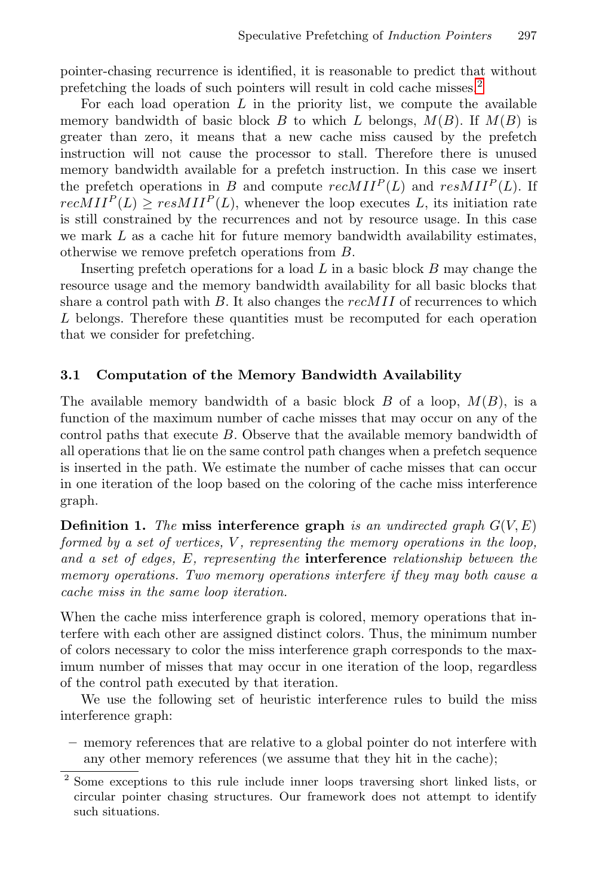<span id="page-8-0"></span>pointer-chasing recurrence is identified, it is reasonable to predict that without prefetching the loads of such pointers will result in cold cache misses.<sup>2</sup>

For each load operation  $L$  in the priority list, we compute the available memory bandwidth of basic block B to which L belongs,  $M(B)$ . If  $M(B)$  is greater than zero, it means that a new cache miss caused by the prefetch instruction will not cause the processor to stall. Therefore there is unused memory bandwidth available for a prefetch instruction. In this case we insert the prefetch operations in B and compute  $recMII^{P}(L)$  and  $resMII^{P}(L)$ . If  $recMII^{P}(L) \geq resMII^{P}(L)$ , whenever the loop executes L, its initiation rate is still constrained by the recurrences and not by resource usage. In this case we mark  $L$  as a cache hit for future memory bandwidth availability estimates, otherwise we remove prefetch operations from B.

Inserting prefetch operations for a load  $L$  in a basic block  $B$  may change the resource usage and the memory bandwidth availability for all basic blocks that share a control path with  $B$ . It also changes the  $recMI$  of recurrences to which L belongs. Therefore these quantities must be recomputed for each operation that we consider for prefetching.

### **3.1 Computation of the Memory Bandwidth Availability**

The available memory bandwidth of a basic block  $B$  of a loop,  $M(B)$ , is a function of the maximum number of cache misses that may occur on any of the control paths that execute B. Observe that the available memory bandwidth of all operations that lie on the same control path changes when a prefetch sequence is inserted in the path. We estimate the number of cache misses that can occur in one iteration of the loop based on the coloring of the cache miss interference graph.

**Definition 1.** The **miss interference graph** is an undirected graph  $G(V, E)$ formed by a set of vertices,  $V$ , representing the memory operations in the loop, and a set of edges, E, representing the **interference** relationship between the memory operations. Two memory operations interfere if they may both cause a cache miss in the same loop iteration.

When the cache miss interference graph is colored, memory operations that interfere with each other are assigned distinct colors. Thus, the minimum number of colors necessary to color the miss interference graph corresponds to the maximum number of misses that may occur in one iteration of the loop, regardless of the control path executed by that iteration.

We use the following set of heuristic interference rules to build the miss interference graph:

**–** memory references that are relative to a global pointer do not interfere with any other memory references (we assume that they hit in the cache);

<sup>2</sup> Some exceptions to this rule include inner loops traversing short linked lists, or circular pointer chasing structures. Our framework does not attempt to identify such situations.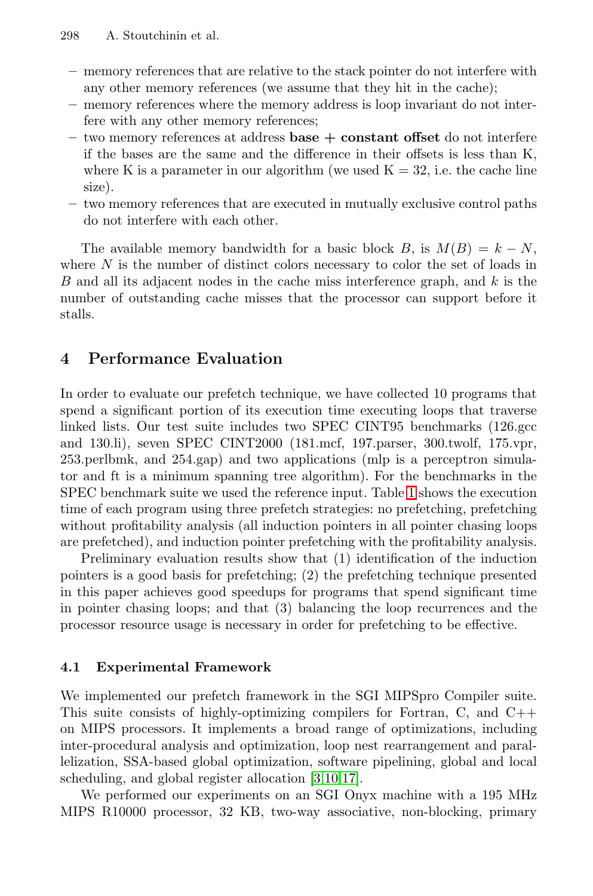- <span id="page-9-0"></span>**–** memory references that are relative to the stack pointer do not interfere with any other memory references (we assume that they hit in the cache);
- **–** memory references where the memory address is loop invariant do not interfere with any other memory references;
- **–** two memory references at address **base + constant offset** do not interfere if the bases are the same and the difference in their offsets is less than K, where K is a parameter in our algorithm (we used  $K = 32$ , i.e. the cache line size).
- **–** two memory references that are executed in mutually exclusive control paths do not interfere with each other.

The available memory bandwidth for a basic block B, is  $M(B) = k - N$ , where  $N$  is the number of distinct colors necessary to color the set of loads in B and all its adjacent nodes in the cache miss interference graph, and  $k$  is the number of outstanding cache misses that the processor can support before it stalls.

## **4 Performance Evaluation**

In order to evaluate our prefetch technique, we have collected 10 programs that spend a significant portion of its execution time executing loops that traverse linked lists. Our test suite includes two SPEC CINT95 benchmarks (126.gcc and 130.li), seven SPEC CINT2000 (181.mcf, 197.parser, 300.twolf, 175.vpr, 253.perlbmk, and 254.gap) and two applications (mlp is a perceptron simulator and ft is a minimum spanning tree algorithm). For the benchmarks in the SPEC benchmark suite we used the reference input. Table [1](#page-10-0) shows the execution time of each program using three prefetch strategies: no prefetching, prefetching without profitability analysis (all induction pointers in all pointer chasing loops are prefetched), and induction pointer prefetching with the profitability analysis.

Preliminary evaluation results show that (1) identification of the induction pointers is a good basis for prefetching; (2) the prefetching technique presented in this paper achieves good speedups for programs that spend significant time in pointer chasing loops; and that (3) balancing the loop recurrences and the processor resource usage is necessary in order for prefetching to be effective.

### **4.1 Experimental Framework**

We implemented our prefetch framework in the SGI MIPSpro Compiler suite. This suite consists of highly-optimizing compilers for Fortran, C, and  $C_{++}$ on MIPS processors. It implements a broad range of optimizations, including inter-procedural analysis and optimization, loop nest rearrangement and parallelization, SSA-based global optimization, software pipelining, global and local scheduling, and global register allocation [\[3,10](#page-13-0)[,17\]](#page-14-0).

We performed our experiments on an SGI Onyx machine with a 195 MHz MIPS R10000 processor, 32 KB, two-way associative, non-blocking, primary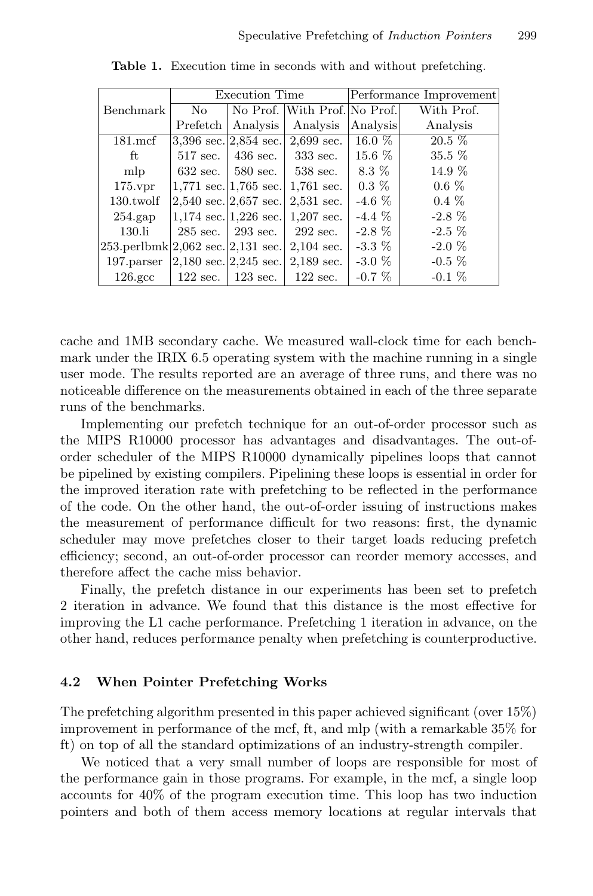|                                                          | <b>Execution Time</b> |                                                     | Performance Improvement              |          |            |
|----------------------------------------------------------|-----------------------|-----------------------------------------------------|--------------------------------------|----------|------------|
| <b>Benchmark</b>                                         | No.                   |                                                     | No Prof. With Prof. No Prof.         |          | With Prof. |
|                                                          | Prefetch              | Analysis                                            | Analysis                             | Analysis | Analysis   |
| $181$ .mcf                                               |                       | 3,396 sec. $ 2,854$ sec.                            | $2,699$ sec.                         | $16.0\%$ | $20.5\%$   |
| ft                                                       |                       |                                                     | $517 \text{ sec.}$ 436 sec. 333 sec. | $15.6\%$ | $35.5\%$   |
| mlp                                                      |                       | 632 sec. $\vert$ 580 sec. $\vert$                   | 538 sec.                             | 8.3 %    | 14.9 $%$   |
| $175.\text{vpr}$                                         |                       | $1,771 \text{ sec.} \vert 1,765 \text{ sec.} \vert$ | $1,761$ sec.                         | $0.3\%$  | $0.6\%$    |
| $130$ .twolf                                             |                       | $2,540 \text{ sec.}$ [2,657 sec.]                   | $2,531$ sec.                         | $-4.6\%$ | $0.4\%$    |
| $254$ .gap                                               |                       | $1,174$ sec. $ 1,226$ sec.                          | $1,207$ sec.                         | $-4.4\%$ | $-2.8\%$   |
| 130.1 <sub>i</sub>                                       |                       | $285$ sec.   $293$ sec.                             | $292$ sec.                           | $-2.8\%$ | $-2.5\%$   |
| $253.$ perlbmk $ 2,062 \text{ sec.} 2,131 \text{ sec.} $ |                       |                                                     | $2,104$ sec.                         | $-3.3\%$ | $-2.0\%$   |
| $197$ .parser                                            |                       | $2,180$ sec. $ 2,245$ sec.                          | $2,189$ sec.                         | $-3.0\%$ | $-0.5\%$   |
| $126.\mathrm{gcc}$                                       |                       | $122 \text{ sec.}$   $123 \text{ sec.}$             | $122$ sec.                           | $-0.7\%$ | $-0.1\%$   |

<span id="page-10-0"></span>**Table 1.** Execution time in seconds with and without prefetching.

cache and 1MB secondary cache. We measured wall-clock time for each benchmark under the IRIX 6.5 operating system with the machine running in a single user mode. The results reported are an average of three runs, and there was no noticeable difference on the measurements obtained in each of the three separate runs of the benchmarks.

Implementing our prefetch technique for an out-of-order processor such as the MIPS R10000 processor has advantages and disadvantages. The out-oforder scheduler of the MIPS R10000 dynamically pipelines loops that cannot be pipelined by existing compilers. Pipelining these loops is essential in order for the improved iteration rate with prefetching to be reflected in the performance of the code. On the other hand, the out-of-order issuing of instructions makes the measurement of performance difficult for two reasons: first, the dynamic scheduler may move prefetches closer to their target loads reducing prefetch efficiency; second, an out-of-order processor can reorder memory accesses, and therefore affect the cache miss behavior.

Finally, the prefetch distance in our experiments has been set to prefetch 2 iteration in advance. We found that this distance is the most effective for improving the L1 cache performance. Prefetching 1 iteration in advance, on the other hand, reduces performance penalty when prefetching is counterproductive.

#### **4.2 When Pointer Prefetching Works**

The prefetching algorithm presented in this paper achieved significant (over 15%) improvement in performance of the mcf, ft, and mlp (with a remarkable 35% for ft) on top of all the standard optimizations of an industry-strength compiler.

We noticed that a very small number of loops are responsible for most of the performance gain in those programs. For example, in the mcf, a single loop accounts for 40% of the program execution time. This loop has two induction pointers and both of them access memory locations at regular intervals that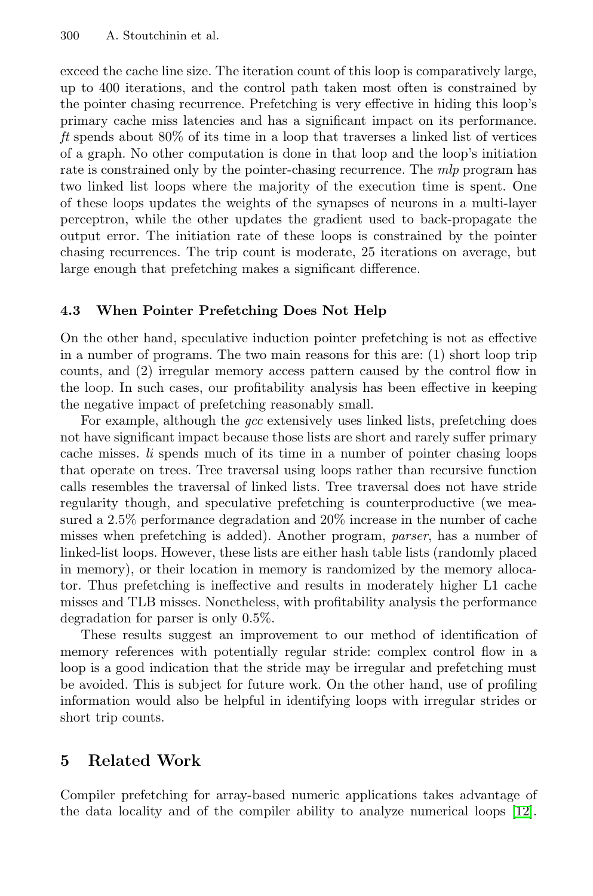<span id="page-11-0"></span>exceed the cache line size. The iteration count of this loop is comparatively large, up to 400 iterations, and the control path taken most often is constrained by the pointer chasing recurrence. Prefetching is very effective in hiding this loop's primary cache miss latencies and has a significant impact on its performance. ft spends about 80% of its time in a loop that traverses a linked list of vertices of a graph. No other computation is done in that loop and the loop's initiation rate is constrained only by the pointer-chasing recurrence. The *mlp* program has two linked list loops where the majority of the execution time is spent. One of these loops updates the weights of the synapses of neurons in a multi-layer perceptron, while the other updates the gradient used to back-propagate the output error. The initiation rate of these loops is constrained by the pointer chasing recurrences. The trip count is moderate, 25 iterations on average, but large enough that prefetching makes a significant difference.

## **4.3 When Pointer Prefetching Does Not Help**

On the other hand, speculative induction pointer prefetching is not as effective in a number of programs. The two main reasons for this are: (1) short loop trip counts, and (2) irregular memory access pattern caused by the control flow in the loop. In such cases, our profitability analysis has been effective in keeping the negative impact of prefetching reasonably small.

For example, although the gcc extensively uses linked lists, prefetching does not have significant impact because those lists are short and rarely suffer primary cache misses. *li* spends much of its time in a number of pointer chasing loops that operate on trees. Tree traversal using loops rather than recursive function calls resembles the traversal of linked lists. Tree traversal does not have stride regularity though, and speculative prefetching is counterproductive (we measured a 2.5% performance degradation and 20% increase in the number of cache misses when prefetching is added). Another program, parser, has a number of linked-list loops. However, these lists are either hash table lists (randomly placed in memory), or their location in memory is randomized by the memory allocator. Thus prefetching is ineffective and results in moderately higher L1 cache misses and TLB misses. Nonetheless, with profitability analysis the performance degradation for parser is only 0.5%.

These results suggest an improvement to our method of identification of memory references with potentially regular stride: complex control flow in a loop is a good indication that the stride may be irregular and prefetching must be avoided. This is subject for future work. On the other hand, use of profiling information would also be helpful in identifying loops with irregular strides or short trip counts.

# **5 Related Work**

Compiler prefetching for array-based numeric applications takes advantage of the data locality and of the compiler ability to analyze numerical loops [\[12\]](#page-13-0).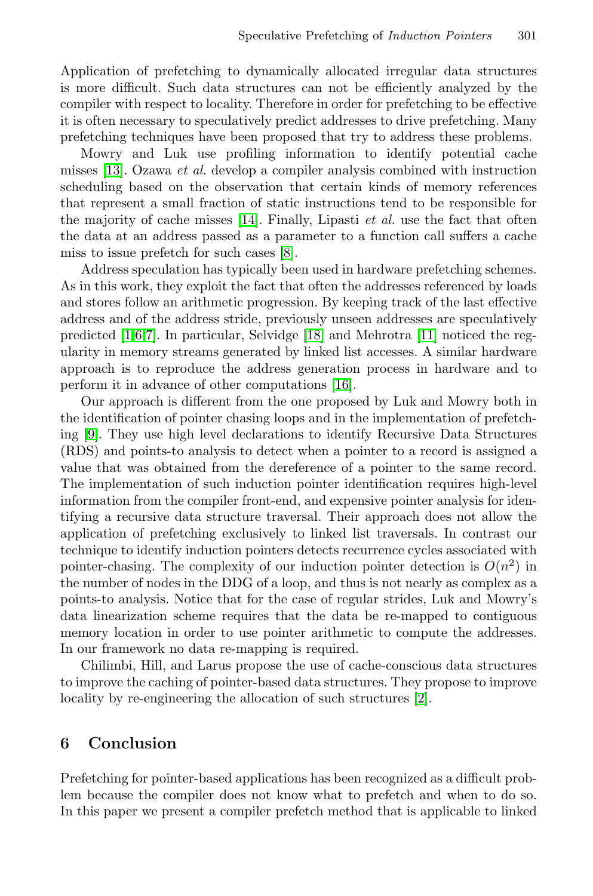Application of prefetching to dynamically allocated irregular data structures is more difficult. Such data structures can not be efficiently analyzed by the compiler with respect to locality. Therefore in order for prefetching to be effective it is often necessary to speculatively predict addresses to drive prefetching. Many prefetching techniques have been proposed that try to address these problems.

Mowry and Luk use profiling information to identify potential cache misses [\[13\]](#page-14-0). Ozawa et al. develop a compiler analysis combined with instruction scheduling based on the observation that certain kinds of memory references that represent a small fraction of static instructions tend to be responsible for the majority of cache misses  $[14]$ . Finally, Lipasti *et al.* use the fact that often the data at an address passed as a parameter to a function call suffers a cache miss to issue prefetch for such cases [\[8\]](#page-13-0).

Address speculation has typically been used in hardware prefetching schemes. As in this work, they exploit the fact that often the addresses referenced by loads and stores follow an arithmetic progression. By keeping track of the last effective address and of the address stride, previously unseen addresses are speculatively predicted [\[1,6,7\]](#page-13-0). In particular, Selvidge [\[18\]](#page-14-0) and Mehrotra [\[11\]](#page-13-0) noticed the regularity in memory streams generated by linked list accesses. A similar hardware approach is to reproduce the address generation process in hardware and to perform it in advance of other computations [\[16\]](#page-14-0).

Our approach is different from the one proposed by Luk and Mowry both in the identification of pointer chasing loops and in the implementation of prefetching [\[9\]](#page-13-0). They use high level declarations to identify Recursive Data Structures (RDS) and points-to analysis to detect when a pointer to a record is assigned a value that was obtained from the dereference of a pointer to the same record. The implementation of such induction pointer identification requires high-level information from the compiler front-end, and expensive pointer analysis for identifying a recursive data structure traversal. Their approach does not allow the application of prefetching exclusively to linked list traversals. In contrast our technique to identify induction pointers detects recurrence cycles associated with pointer-chasing. The complexity of our induction pointer detection is  $O(n^2)$  in the number of nodes in the DDG of a loop, and thus is not nearly as complex as a points-to analysis. Notice that for the case of regular strides, Luk and Mowry's data linearization scheme requires that the data be re-mapped to contiguous memory location in order to use pointer arithmetic to compute the addresses. In our framework no data re-mapping is required.

Chilimbi, Hill, and Larus propose the use of cache-conscious data structures to improve the caching of pointer-based data structures. They propose to improve locality by re-engineering the allocation of such structures [\[2\]](#page-13-0).

## **6 Conclusion**

Prefetching for pointer-based applications has been recognized as a difficult problem because the compiler does not know what to prefetch and when to do so. In this paper we present a compiler prefetch method that is applicable to linked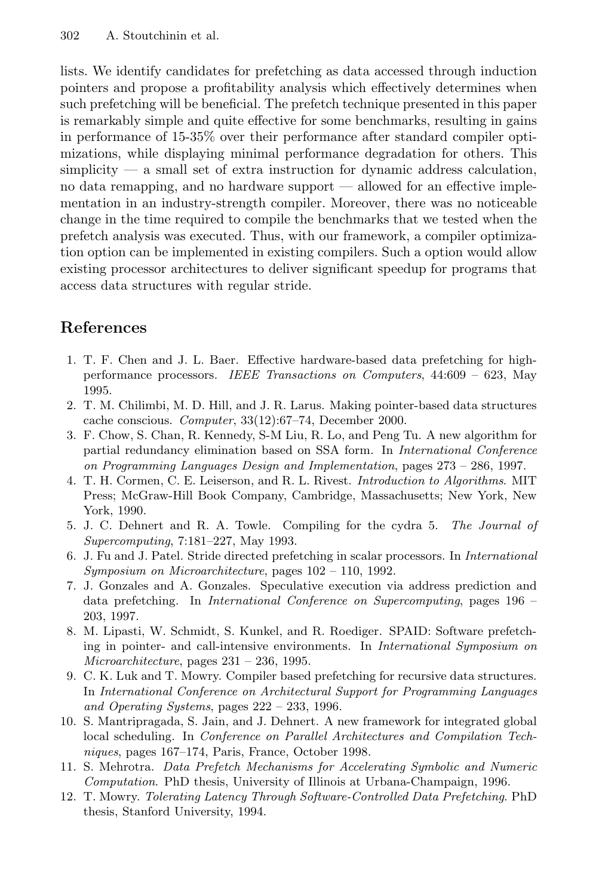<span id="page-13-0"></span>lists. We identify candidates for prefetching as data accessed through induction pointers and propose a profitability analysis which effectively determines when such prefetching will be beneficial. The prefetch technique presented in this paper is remarkably simple and quite effective for some benchmarks, resulting in gains in performance of 15-35% over their performance after standard compiler optimizations, while displaying minimal performance degradation for others. This  $simplify$  — a small set of extra instruction for dynamic address calculation, no data remapping, and no hardware support — allowed for an effective implementation in an industry-strength compiler. Moreover, there was no noticeable change in the time required to compile the benchmarks that we tested when the prefetch analysis was executed. Thus, with our framework, a compiler optimization option can be implemented in existing compilers. Such a option would allow existing processor architectures to deliver significant speedup for programs that access data structures with regular stride.

# **References**

- 1. T. F. Chen and J. L. Baer. Effective hardware-based data prefetching for highperformance processors. IEEE Transactions on Computers, 44:609 – 623, May 1995.
- 2. T. M. Chilimbi, M. D. Hill, and J. R. Larus. Making pointer-based data structures cache conscious. Computer, 33(12):67–74, December 2000.
- 3. F. Chow, S. Chan, R. Kennedy, S-M Liu, R. Lo, and Peng Tu. A new algorithm for partial redundancy elimination based on SSA form. In International Conference on Programming Languages Design and Implementation, pages 273 – 286, 1997.
- 4. T. H. Cormen, C. E. Leiserson, and R. L. Rivest. Introduction to Algorithms. MIT Press; McGraw-Hill Book Company, Cambridge, Massachusetts; New York, New York, 1990.
- 5. J. C. Dehnert and R. A. Towle. Compiling for the cydra 5. The Journal of Supercomputing, 7:181–227, May 1993.
- 6. J. Fu and J. Patel. Stride directed prefetching in scalar processors. In International Symposium on Microarchitecture, pages 102 – 110, 1992.
- 7. J. Gonzales and A. Gonzales. Speculative execution via address prediction and data prefetching. In International Conference on Supercomputing, pages 196 – 203, 1997.
- 8. M. Lipasti, W. Schmidt, S. Kunkel, and R. Roediger. SPAID: Software prefetching in pointer- and call-intensive environments. In International Symposium on Microarchitecture, pages 231 – 236, 1995.
- 9. C. K. Luk and T. Mowry. Compiler based prefetching for recursive data structures. In International Conference on Architectural Support for Programming Languages and Operating Systems, pages 222 – 233, 1996.
- 10. S. Mantripragada, S. Jain, and J. Dehnert. A new framework for integrated global local scheduling. In Conference on Parallel Architectures and Compilation Techniques, pages 167–174, Paris, France, October 1998.
- 11. S. Mehrotra. Data Prefetch Mechanisms for Accelerating Symbolic and Numeric Computation. PhD thesis, University of Illinois at Urbana-Champaign, 1996.
- 12. T. Mowry. Tolerating Latency Through Software-Controlled Data Prefetching. PhD thesis, Stanford University, 1994.